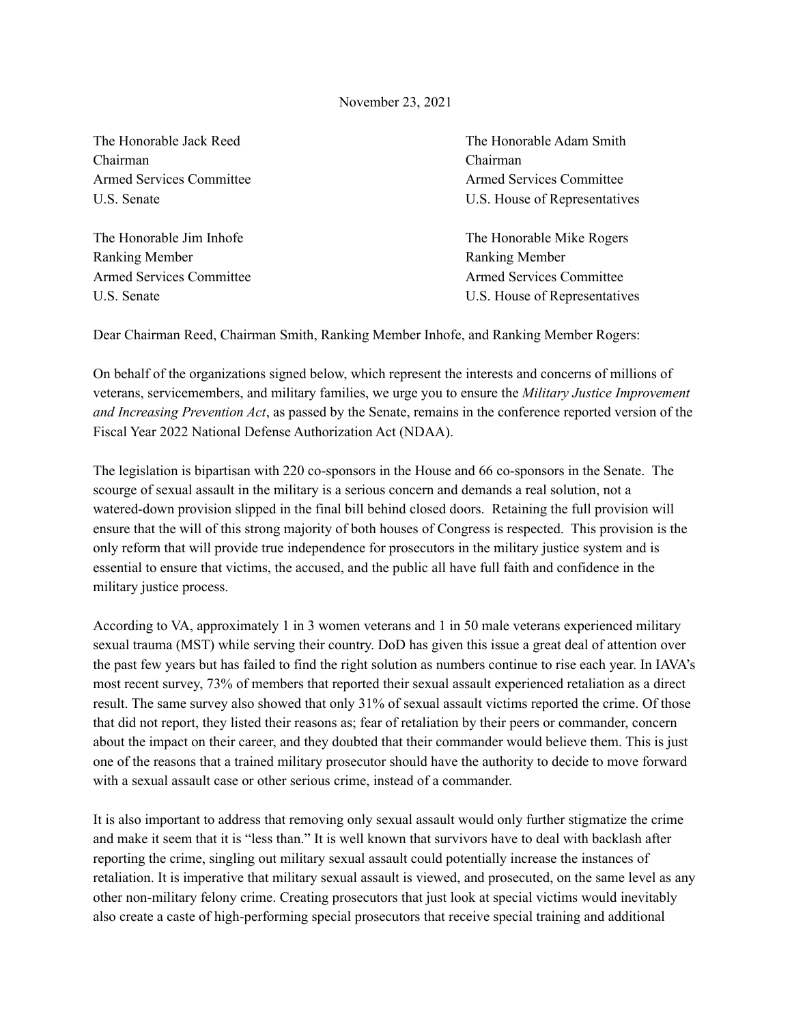## November 23, 2021

Chairman Chairman

Ranking Member Ranking Member

The Honorable Jack Reed The Honorable Adam Smith Armed Services Committee Armed Services Committee Armed Services Committee U.S. Senate U.S. House of Representatives

The Honorable Jim Inhofe The Honorable Mike Rogers Armed Services Committee Armed Services Committee Armed Services Committee U.S. Senate U.S. Senate U.S. House of Representatives

Dear Chairman Reed, Chairman Smith, Ranking Member Inhofe, and Ranking Member Rogers:

On behalf of the organizations signed below, which represent the interests and concerns of millions of veterans, servicemembers, and military families, we urge you to ensure the *Military Justice Improvement and Increasing Prevention Act*, as passed by the Senate, remains in the conference reported version of the Fiscal Year 2022 National Defense Authorization Act (NDAA).

The legislation is bipartisan with 220 co-sponsors in the House and 66 co-sponsors in the Senate. The scourge of sexual assault in the military is a serious concern and demands a real solution, not a watered-down provision slipped in the final bill behind closed doors. Retaining the full provision will ensure that the will of this strong majority of both houses of Congress is respected. This provision is the only reform that will provide true independence for prosecutors in the military justice system and is essential to ensure that victims, the accused, and the public all have full faith and confidence in the military justice process.

According to VA, approximately 1 in 3 women veterans and 1 in 50 male veterans experienced military sexual trauma (MST) while serving their country. DoD has given this issue a great deal of attention over the past few years but has failed to find the right solution as numbers continue to rise each year. In IAVA's most recent survey, 73% of members that reported their sexual assault experienced retaliation as a direct result. The same survey also showed that only 31% of sexual assault victims reported the crime. Of those that did not report, they listed their reasons as; fear of retaliation by their peers or commander, concern about the impact on their career, and they doubted that their commander would believe them. This is just one of the reasons that a trained military prosecutor should have the authority to decide to move forward with a sexual assault case or other serious crime, instead of a commander.

It is also important to address that removing only sexual assault would only further stigmatize the crime and make it seem that it is "less than." It is well known that survivors have to deal with backlash after reporting the crime, singling out military sexual assault could potentially increase the instances of retaliation. It is imperative that military sexual assault is viewed, and prosecuted, on the same level as any other non-military felony crime. Creating prosecutors that just look at special victims would inevitably also create a caste of high-performing special prosecutors that receive special training and additional